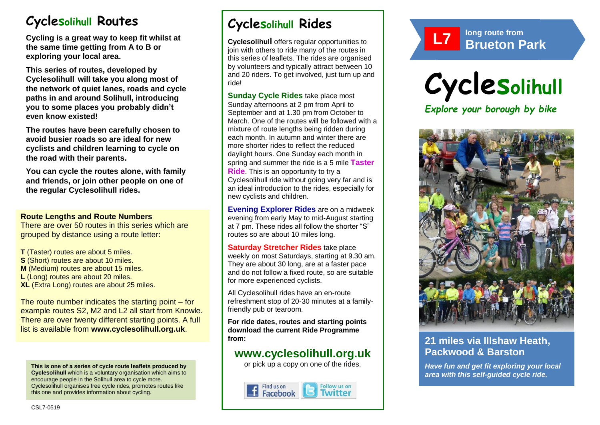# **Cyclesolihull Routes**

**Cycling is a great way to keep fit whilst at the same time getting from A to B or exploring your local area.** 

**This series of routes, developed by Cyclesolihull will take you along most of the network of quiet lanes, roads and cycle paths in and around Solihull, introducing you to some places you probably didn't even know existed!**

**The routes have been carefully chosen to avoid busier roads so are ideal for new cyclists and children learning to cycle on the road with their parents.** 

**You can cycle the routes alone, with family and friends, or join other people on one of the regular Cyclesolihull rides.**

### **Route Lengths and Route Numbers**

There are over 50 routes in this series which are grouped by distance using a route letter:

**T** (Taster) routes are about 5 miles. **S** (Short) routes are about 10 miles. **M** (Medium) routes are about 15 miles. **L** (Long) routes are about 20 miles. **XL** (Extra Long) routes are about 25 miles.

The route number indicates the starting point – for example routes S2, M2 and L2 all start from Knowle. There are over twenty different starting points. A full list is available from **www.cyclesolihull.org.uk**.

**This is one of a series of cycle route leaflets produced by Cyclesolihull** which is a voluntary organisation which aims to encourage people in the Solihull area to cycle more. Cyclesolihull organises free cycle rides, promotes routes like this one and provides information about cycling.

# **Cyclesolihull Rides**

**Cyclesolihull** offers regular opportunities to join with others to ride many of the routes in this series of leaflets. The rides are organised by volunteers and typically attract between 10 and 20 riders. To get involved, just turn up and ride!

**Sunday Cycle Rides** take place most Sunday afternoons at 2 pm from April to September and at 1.30 pm from October to March. One of the routes will be followed with a mixture of route lengths being ridden during each month. In autumn and winter there are more shorter rides to reflect the reduced daylight hours. One Sunday each month in spring and summer the ride is a 5 mile **Taster Ride**. This is an opportunity to try a Cyclesolihull ride without going very far and is an ideal introduction to the rides, especially for new cyclists and children.

**Evening Explorer Rides** are on a midweek evening from early May to mid-August starting at 7 pm. These rides all follow the shorter "S" routes so are about 10 miles long.

**Saturday Stretcher Rides** take place weekly on most Saturdays, starting at 9.30 am. They are about 30 long, are at a faster pace and do not follow a fixed route, so are suitable for more experienced cyclists.

All Cyclesolihull rides have an en-route refreshment stop of 20-30 minutes at a familyfriendly pub or tearoom.

**For ride dates, routes and starting points download the current Ride Programme from:** 

## **www.cyclesolihull.org.uk**

or pick up a copy on one of the rides.









### **21 miles via Illshaw Heath, Packwood & Barston**

*Have fun and get fit exploring your local area with this self-guided cycle ride.*